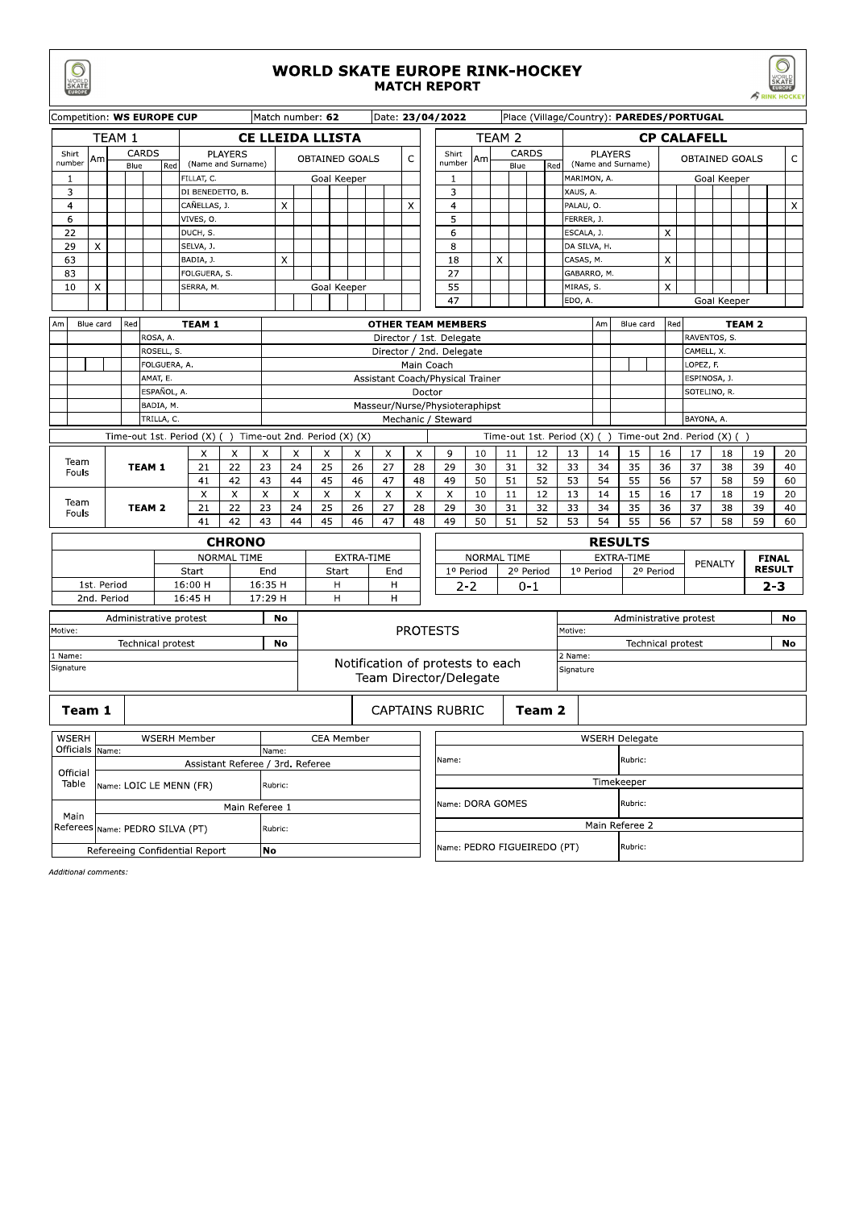|                                      |                                               |             |                           |                   |              |                    |                                                                    |    |                    |                                  |                                                                             |                              |                                                          |            |                                         |    |                                  |                                                                                      |                      |               |           |             |                         |                                           |          |                       |                   |                       |              |            |               |                               | $\sim$ <i>t</i> run nours |          |  |
|--------------------------------------|-----------------------------------------------|-------------|---------------------------|-------------------|--------------|--------------------|--------------------------------------------------------------------|----|--------------------|----------------------------------|-----------------------------------------------------------------------------|------------------------------|----------------------------------------------------------|------------|-----------------------------------------|----|----------------------------------|--------------------------------------------------------------------------------------|----------------------|---------------|-----------|-------------|-------------------------|-------------------------------------------|----------|-----------------------|-------------------|-----------------------|--------------|------------|---------------|-------------------------------|---------------------------|----------|--|
|                                      | Competition: WS EUROPE CUP                    |             |                           |                   |              |                    |                                                                    |    |                    |                                  |                                                                             | Match number: 62             |                                                          |            |                                         |    |                                  | Date: 23/04/2022                                                                     |                      |               |           |             |                         | Place (Village/Country): PAREDES/PORTUGAL |          |                       |                   |                       |              |            |               |                               |                           |          |  |
| TEAM 1<br><b>CE LLEIDA LLISTA</b>    |                                               |             |                           |                   |              |                    |                                                                    |    |                    |                                  |                                                                             |                              |                                                          |            | TEAM <sub>2</sub><br><b>CP CALAFELL</b> |    |                                  |                                                                                      |                      |               |           |             |                         |                                           |          |                       |                   |                       |              |            |               |                               |                           |          |  |
|                                      | CARDS<br>Shirt<br>Am<br>number<br>Blue<br>Red |             |                           |                   |              | (Name and Surname) | <b>PLAYERS</b>                                                     |    |                    | C<br>OBTAINED GOALS              |                                                                             |                              |                                                          |            |                                         |    | Shirt<br>number                  | Am                                                                                   |                      | CARDS<br>Blue |           | Red         | (Name and Surname)      | <b>PLAYERS</b>                            |          |                       |                   | <b>OBTAINED GOALS</b> |              |            |               |                               | C                         |          |  |
|                                      | 1                                             |             |                           |                   |              |                    | FILLAT, C.                                                         |    |                    | Goal Keeper                      |                                                                             |                              |                                                          |            |                                         | 1  |                                  |                                                                                      |                      |               |           | MARIMON, A. |                         |                                           |          |                       |                   | Goal Keeper           |              |            |               |                               |                           |          |  |
|                                      | 3                                             |             |                           |                   |              |                    | DI BENEDETTO, B.                                                   |    |                    |                                  |                                                                             |                              |                                                          |            |                                         | 3  |                                  |                                                                                      |                      |               |           | XAUS, A.    |                         |                                           |          |                       |                   |                       |              |            |               |                               |                           |          |  |
|                                      | 4<br>6                                        |             | CAÑELLAS, J.<br>VIVES, O. |                   |              |                    |                                                                    |    |                    | $\mathsf{X}$                     |                                                                             |                              |                                                          |            |                                         | X  | $\overline{4}$<br>5              |                                                                                      |                      |               |           |             | PALAU, O.<br>FERRER, J. |                                           |          |                       |                   |                       |              |            |               |                               | $\mathsf{X}$              |          |  |
|                                      | 22                                            |             |                           |                   | DUCH, S.     |                    |                                                                    |    |                    |                                  |                                                                             |                              |                                                          |            |                                         |    |                                  | 6                                                                                    |                      |               |           |             |                         | ESCALA, J.                                |          |                       |                   | X                     |              |            |               |                               |                           |          |  |
|                                      | 29                                            | X           |                           |                   |              |                    | SELVA, J.                                                          |    |                    |                                  |                                                                             |                              |                                                          |            |                                         |    |                                  | 8                                                                                    |                      |               |           |             |                         | DA SILVA, H.                              |          |                       |                   |                       |              |            |               |                               |                           |          |  |
|                                      | 63                                            |             |                           |                   |              |                    | BADIA, J.                                                          |    |                    |                                  | X                                                                           |                              |                                                          |            |                                         |    |                                  | 18                                                                                   |                      | X             |           |             |                         | CASAS, M.                                 |          |                       |                   | X                     |              |            |               |                               |                           |          |  |
|                                      | 83                                            |             |                           |                   |              |                    | FOLGUERA, S.                                                       |    |                    |                                  |                                                                             |                              |                                                          |            |                                         |    |                                  | 27                                                                                   |                      |               |           |             |                         | GABARRO, M.                               |          |                       |                   |                       |              |            |               |                               |                           |          |  |
|                                      | 10                                            | X           |                           |                   |              |                    | SERRA, M.                                                          |    |                    |                                  |                                                                             | Goal Keeper                  |                                                          |            |                                         |    |                                  | 55                                                                                   |                      |               |           |             |                         | MIRAS, S.                                 |          |                       |                   | $\times$              |              |            |               |                               |                           |          |  |
|                                      |                                               |             |                           |                   |              |                    |                                                                    |    |                    |                                  | 47<br>EDO, A.<br>Goal Keeper                                                |                              |                                                          |            |                                         |    |                                  |                                                                                      |                      |               |           |             |                         |                                           |          |                       |                   |                       |              |            |               |                               |                           |          |  |
| Am                                   |                                               | Blue card   |                           | Red               |              |                    | <b>TEAM 1</b>                                                      |    |                    |                                  |                                                                             |                              |                                                          |            |                                         |    |                                  | <b>OTHER TEAM MEMBERS</b>                                                            |                      |               |           |             |                         |                                           | Am       |                       | Blue card         | Red                   |              |            | <b>TEAM 2</b> |                               |                           |          |  |
|                                      |                                               |             |                           |                   | ROSA, A.     |                    |                                                                    |    |                    |                                  |                                                                             |                              |                                                          |            |                                         |    |                                  | Director / 1st. Delegate                                                             |                      |               |           |             |                         |                                           |          |                       |                   |                       | RAVENTOS, S. |            |               |                               |                           |          |  |
|                                      |                                               |             |                           |                   | ROSELL, S.   |                    |                                                                    |    |                    |                                  |                                                                             |                              |                                                          |            |                                         |    |                                  | Director / 2nd. Delegate                                                             |                      |               |           |             |                         |                                           |          |                       |                   |                       |              | CAMELL, X. |               |                               |                           |          |  |
|                                      |                                               |             |                           |                   | FOLGUERA, A. |                    |                                                                    |    |                    |                                  | Main Coach<br>LOPEZ, F.<br>Assistant Coach/Physical Trainer<br>ESPINOSA, J. |                              |                                                          |            |                                         |    |                                  |                                                                                      |                      |               |           |             |                         |                                           |          |                       |                   |                       |              |            |               |                               |                           |          |  |
|                                      |                                               |             |                           |                   | AMAT, E.     |                    |                                                                    |    |                    |                                  |                                                                             |                              |                                                          |            |                                         |    |                                  |                                                                                      |                      |               |           |             |                         |                                           |          |                       |                   |                       |              |            |               |                               |                           |          |  |
|                                      |                                               |             | ESPAÑOL, A.<br>BADIA, M.  |                   |              |                    |                                                                    |    |                    |                                  |                                                                             |                              | Doctor<br>SOTELINO, R.<br>Masseur/Nurse/Physioteraphipst |            |                                         |    |                                  |                                                                                      |                      |               |           |             |                         |                                           |          |                       |                   |                       |              |            |               |                               |                           |          |  |
|                                      |                                               |             |                           |                   | TRILLA, C.   |                    |                                                                    |    |                    |                                  |                                                                             |                              |                                                          |            |                                         |    |                                  | Mechanic / Steward                                                                   |                      |               |           |             |                         |                                           |          |                       |                   |                       |              | BAYONA, A. |               |                               |                           |          |  |
|                                      |                                               |             |                           |                   |              |                    | Time-out 1st. Period (X)                                           |    |                    |                                  |                                                                             | Time-out 2nd. Period (X) (X) |                                                          |            |                                         |    |                                  | Time-out 1st. Period (X) (<br>Time-out 2nd. Period (X) (<br>$\overline{\phantom{a}}$ |                      |               |           |             |                         |                                           |          |                       |                   |                       |              |            |               |                               |                           |          |  |
|                                      |                                               |             |                           |                   |              |                    | X                                                                  |    | X                  | X                                | X                                                                           | X                            |                                                          | X          | $\times$                                |    | $\times$                         | 9                                                                                    | 10                   |               | 11        | 12          |                         | 13                                        | 14       | 15                    |                   | 16                    | 17           |            | 18            | 19                            |                           | 20       |  |
| Team<br>Fouls                        |                                               |             | <b>TEAM 1</b>             |                   |              | 21                 |                                                                    | 22 | 23                 | 24                               | 25                                                                          |                              | 26                                                       | 27         |                                         | 28 | 29                               | 30                                                                                   |                      | 31            | 32        |             | 33                      | 34                                        | 35       |                       | 36                | 37                    |              | 38         | 39            |                               | 40                        |          |  |
|                                      |                                               |             |                           |                   |              |                    | 41                                                                 |    | 42                 | 43                               | 44                                                                          | 45                           |                                                          | 46         | 47                                      |    | 48                               | 49                                                                                   | 50                   |               | 51        | 52          |                         | 53                                        | 54       | 55                    |                   | 56                    | 57           |            | 58            | 59                            |                           | 60       |  |
|                                      | Team                                          |             |                           | <b>TEAM 2</b>     |              |                    | $\boldsymbol{\mathsf{X}}$<br>$\boldsymbol{\mathsf{X}}$<br>22<br>21 |    |                    | X<br>23                          | $\times$<br>24                                                              | X<br>25                      |                                                          | X<br>26    | $\times$<br>27                          |    | X<br>28                          | X<br>29                                                                              | 10<br>30             |               | 11<br>31  | 12<br>32    |                         | 13<br>33                                  | 14<br>34 | 15<br>35              |                   | 16<br>36              | 17<br>37     |            | 18<br>38      | 19<br>39                      |                           | 20<br>40 |  |
|                                      | Fouls                                         |             |                           |                   |              |                    | 41                                                                 |    | 42                 | 43                               | 44                                                                          | 45                           |                                                          | 46         | 47                                      |    | 48                               | 49                                                                                   | 50                   |               | 51        | 52          |                         | 53                                        | 54       | 55                    |                   | 56                    | 57           |            | 58            | 59                            |                           | 60       |  |
|                                      |                                               |             |                           |                   |              |                    |                                                                    |    | <b>CHRONO</b>      |                                  | <b>RESULTS</b>                                                              |                              |                                                          |            |                                         |    |                                  |                                                                                      |                      |               |           |             |                         |                                           |          |                       |                   |                       |              |            |               |                               |                           |          |  |
|                                      |                                               |             |                           |                   |              |                    |                                                                    |    | <b>NORMAL TIME</b> |                                  |                                                                             |                              |                                                          | EXTRA-TIME |                                         |    |                                  | <b>NORMAL TIME</b>                                                                   |                      |               |           |             |                         |                                           |          | EXTRA-TIME            |                   |                       |              |            |               |                               |                           |          |  |
|                                      |                                               |             |                           |                   | Start        |                    |                                                                    |    |                    | End                              |                                                                             | Start                        |                                                          |            | End                                     |    |                                  | 1º Period                                                                            |                      |               | 2º Period |             |                         | 1º Period                                 |          |                       | 2º Period         |                       | PENALTY      |            |               | <b>FINAL</b><br><b>RESULT</b> |                           |          |  |
|                                      |                                               | 1st. Period |                           |                   |              |                    | 16:00 H                                                            |    |                    |                                  | 16:35 H                                                                     |                              | H                                                        |            | H                                       |    |                                  | $2 - 2$                                                                              |                      |               | $0 - 1$   |             |                         |                                           |          |                       |                   |                       |              |            |               | $2 - 3$                       |                           |          |  |
|                                      |                                               | 2nd. Period |                           |                   |              | 16:45 H            |                                                                    |    |                    |                                  | Н<br>17:29 H<br>н                                                           |                              |                                                          |            |                                         |    |                                  |                                                                                      |                      |               |           |             |                         |                                           |          |                       |                   |                       |              |            |               |                               |                           |          |  |
|                                      |                                               |             |                           |                   |              |                    | Administrative protest                                             |    |                    |                                  | No                                                                          | Administrative protest       |                                                          |            |                                         |    |                                  |                                                                                      |                      |               |           |             |                         |                                           |          | No                    |                   |                       |              |            |               |                               |                           |          |  |
| Motive:                              |                                               |             |                           |                   |              |                    |                                                                    |    |                    |                                  |                                                                             |                              |                                                          |            |                                         |    |                                  | <b>PROTESTS</b>                                                                      |                      |               |           |             |                         | Motive:                                   |          |                       |                   |                       |              |            |               |                               |                           |          |  |
|                                      |                                               |             |                           | Technical protest |              |                    |                                                                    |    |                    | <b>No</b>                        |                                                                             |                              |                                                          |            |                                         |    |                                  |                                                                                      |                      |               |           |             |                         |                                           |          |                       | Technical protest |                       |              |            |               |                               |                           | No       |  |
|                                      | Name:<br>Signature                            |             |                           |                   |              |                    |                                                                    |    |                    |                                  |                                                                             |                              |                                                          |            |                                         |    | Notification of protests to each |                                                                                      | 2 Name:<br>Signature |               |           |             |                         |                                           |          |                       |                   |                       |              |            |               |                               |                           |          |  |
|                                      |                                               |             |                           |                   |              |                    |                                                                    |    |                    |                                  |                                                                             |                              |                                                          |            |                                         |    |                                  | Team Director/Delegate                                                               |                      |               |           |             |                         |                                           |          |                       |                   |                       |              |            |               |                               |                           |          |  |
|                                      | Team 1                                        |             |                           |                   |              |                    |                                                                    |    |                    |                                  |                                                                             |                              |                                                          |            |                                         |    |                                  | CAPTAINS RUBRIC<br>Team 2                                                            |                      |               |           |             |                         |                                           |          |                       |                   |                       |              |            |               |                               |                           |          |  |
|                                      |                                               |             |                           |                   |              |                    |                                                                    |    |                    |                                  |                                                                             |                              |                                                          |            |                                         |    |                                  |                                                                                      |                      |               |           |             |                         |                                           |          |                       |                   |                       |              |            |               |                               |                           |          |  |
|                                      | WSERH<br>Officials Name:                      |             |                           |                   |              |                    | <b>WSERH Member</b>                                                |    |                    | Name:                            | <b>CEA Member</b>                                                           |                              |                                                          |            |                                         |    |                                  |                                                                                      |                      |               |           |             |                         |                                           |          | <b>WSERH Delegate</b> |                   |                       |              |            |               |                               |                           |          |  |
|                                      | Official                                      |             |                           |                   |              |                    |                                                                    |    |                    | Assistant Referee / 3rd. Referee |                                                                             |                              |                                                          |            |                                         |    |                                  | Rubric:<br>Name:                                                                     |                      |               |           |             |                         |                                           |          |                       |                   |                       |              |            |               |                               |                           |          |  |
|                                      | Table                                         |             |                           |                   |              |                    | Name: LOIC LE MENN (FR)                                            |    |                    | Rubric:                          |                                                                             |                              |                                                          |            |                                         |    |                                  |                                                                                      |                      |               |           |             |                         |                                           |          | Timekeeper            |                   |                       |              |            |               |                               |                           |          |  |
|                                      |                                               |             |                           |                   |              |                    |                                                                    |    | Main Referee 1     |                                  |                                                                             |                              |                                                          |            |                                         |    | Name: DORA GOMES                 |                                                                                      |                      |               |           |             |                         |                                           | Rubric:  |                       |                   |                       |              |            |               |                               |                           |          |  |
|                                      | Main                                          |             |                           |                   |              |                    | Referees Name: PEDRO SILVA (PT)                                    |    |                    | Rubric:                          |                                                                             |                              |                                                          |            |                                         |    |                                  |                                                                                      |                      |               |           |             |                         |                                           |          | Main Referee 2        |                   |                       |              |            |               |                               |                           |          |  |
| No<br>Refereeing Confidential Report |                                               |             |                           |                   |              |                    |                                                                    |    |                    |                                  |                                                                             |                              |                                                          |            | Name: PEDRO FIGUEIREDO (PT)             |    |                                  |                                                                                      |                      |               |           |             | Rubric:                 |                                           |          |                       |                   |                       |              |            |               |                               |                           |          |  |

**WORLD SKATE EUROPE RINK-HOCKEY MATCH REPORT** 

WORLE<br>SKATE

Additional comments:

WORLD<br>SKATE